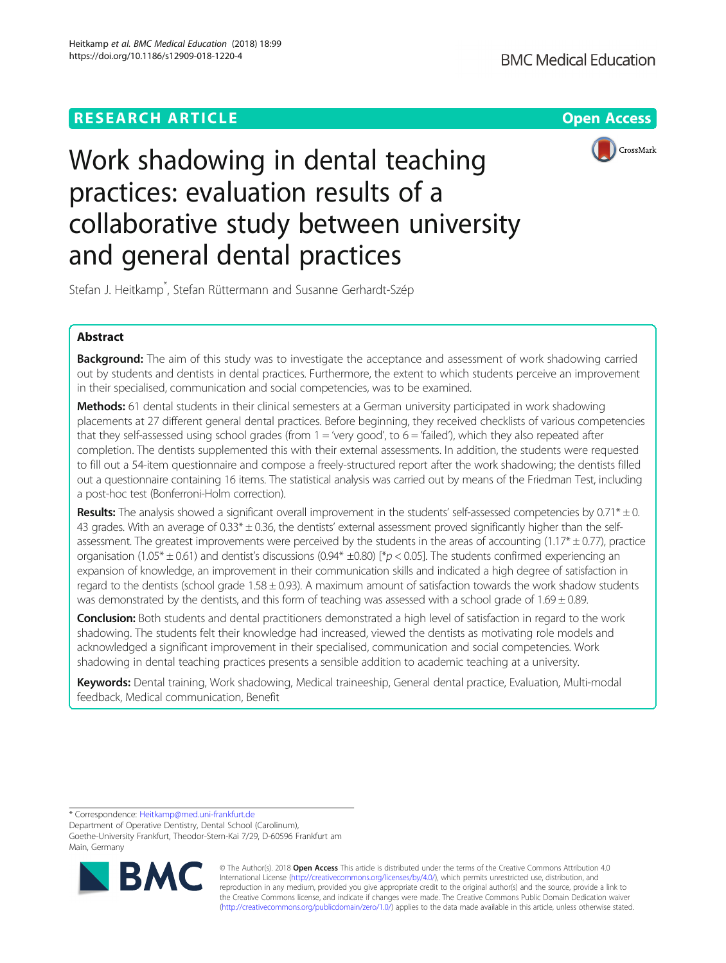# **RESEARCH ARTICLE Example 2014 12:30 The Open Access**



# Work shadowing in dental teaching practices: evaluation results of a collaborative study between university and general dental practices

Stefan J. Heitkamp\* , Stefan Rüttermann and Susanne Gerhardt-Szép

## Abstract

Background: The aim of this study was to investigate the acceptance and assessment of work shadowing carried out by students and dentists in dental practices. Furthermore, the extent to which students perceive an improvement in their specialised, communication and social competencies, was to be examined.

Methods: 61 dental students in their clinical semesters at a German university participated in work shadowing placements at 27 different general dental practices. Before beginning, they received checklists of various competencies that they self-assessed using school grades (from  $1 =$  'very good', to  $6 =$  'failed'), which they also repeated after completion. The dentists supplemented this with their external assessments. In addition, the students were requested to fill out a 54-item questionnaire and compose a freely-structured report after the work shadowing; the dentists filled out a questionnaire containing 16 items. The statistical analysis was carried out by means of the Friedman Test, including a post-hoc test (Bonferroni-Holm correction).

Results: The analysis showed a significant overall improvement in the students' self-assessed competencies by 0.71\* ± 0. 43 grades. With an average of  $0.33* \pm 0.36$ , the dentists' external assessment proved significantly higher than the selfassessment. The greatest improvements were perceived by the students in the areas of accounting  $(1.17* \pm 0.77)$ , practice organisation (1.05\*  $\pm$  0.61) and dentist's discussions (0.94\*  $\pm$ 0.80) [\* $p$  < 0.05]. The students confirmed experiencing an expansion of knowledge, an improvement in their communication skills and indicated a high degree of satisfaction in regard to the dentists (school grade  $1.58 \pm 0.93$ ). A maximum amount of satisfaction towards the work shadow students was demonstrated by the dentists, and this form of teaching was assessed with a school grade of  $1.69 \pm 0.89$ .

Conclusion: Both students and dental practitioners demonstrated a high level of satisfaction in regard to the work shadowing. The students felt their knowledge had increased, viewed the dentists as motivating role models and acknowledged a significant improvement in their specialised, communication and social competencies. Work shadowing in dental teaching practices presents a sensible addition to academic teaching at a university.

Keywords: Dental training, Work shadowing, Medical traineeship, General dental practice, Evaluation, Multi-modal feedback, Medical communication, Benefit

\* Correspondence: [Heitkamp@med.uni-frankfurt.de](mailto:Heitkamp@med.uni-frankfurt.de)

Department of Operative Dentistry, Dental School (Carolinum), Goethe-University Frankfurt, Theodor-Stern-Kai 7/29, D-60596 Frankfurt am Main, Germany



© The Author(s). 2018 Open Access This article is distributed under the terms of the Creative Commons Attribution 4.0 International License [\(http://creativecommons.org/licenses/by/4.0/](http://creativecommons.org/licenses/by/4.0/)), which permits unrestricted use, distribution, and reproduction in any medium, provided you give appropriate credit to the original author(s) and the source, provide a link to the Creative Commons license, and indicate if changes were made. The Creative Commons Public Domain Dedication waiver [\(http://creativecommons.org/publicdomain/zero/1.0/](http://creativecommons.org/publicdomain/zero/1.0/)) applies to the data made available in this article, unless otherwise stated.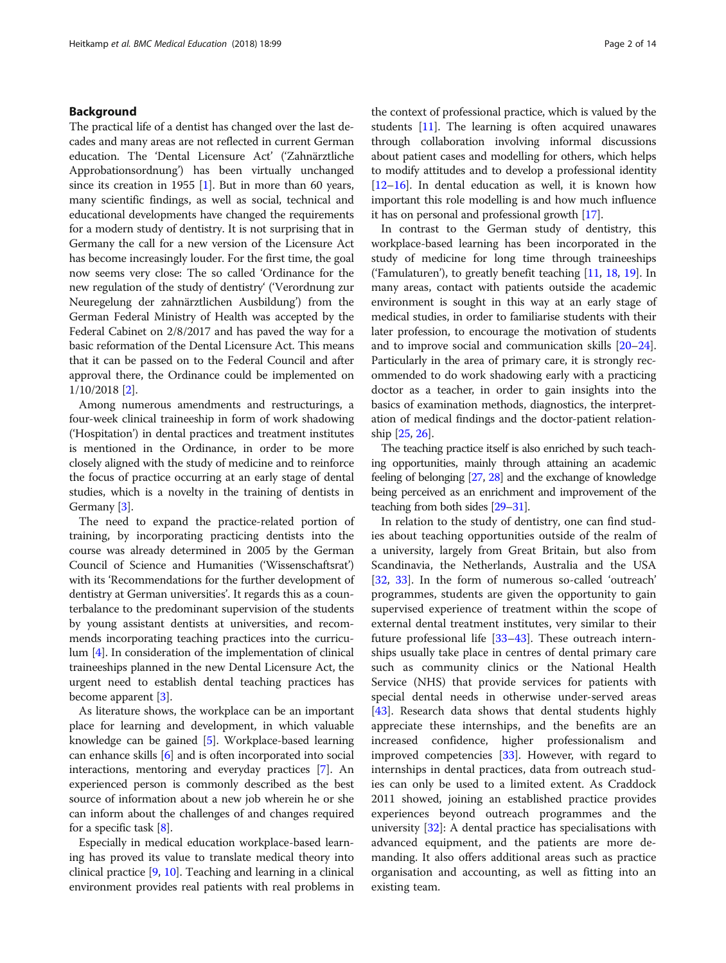## Background

The practical life of a dentist has changed over the last decades and many areas are not reflected in current German education. The 'Dental Licensure Act' ('Zahnärztliche Approbationsordnung') has been virtually unchanged since its creation in 1955 [\[1](#page-12-0)]. But in more than 60 years, many scientific findings, as well as social, technical and educational developments have changed the requirements for a modern study of dentistry. It is not surprising that in Germany the call for a new version of the Licensure Act has become increasingly louder. For the first time, the goal now seems very close: The so called 'Ordinance for the new regulation of the study of dentistry' ('Verordnung zur Neuregelung der zahnärztlichen Ausbildung') from the German Federal Ministry of Health was accepted by the Federal Cabinet on 2/8/2017 and has paved the way for a basic reformation of the Dental Licensure Act. This means that it can be passed on to the Federal Council and after approval there, the Ordinance could be implemented on 1/10/2018 [\[2\]](#page-12-0).

Among numerous amendments and restructurings, a four-week clinical traineeship in form of work shadowing ('Hospitation') in dental practices and treatment institutes is mentioned in the Ordinance, in order to be more closely aligned with the study of medicine and to reinforce the focus of practice occurring at an early stage of dental studies, which is a novelty in the training of dentists in Germany [\[3](#page-12-0)].

The need to expand the practice-related portion of training, by incorporating practicing dentists into the course was already determined in 2005 by the German Council of Science and Humanities ('Wissenschaftsrat') with its 'Recommendations for the further development of dentistry at German universities'. It regards this as a counterbalance to the predominant supervision of the students by young assistant dentists at universities, and recommends incorporating teaching practices into the curriculum [\[4](#page-12-0)]. In consideration of the implementation of clinical traineeships planned in the new Dental Licensure Act, the urgent need to establish dental teaching practices has become apparent [\[3](#page-12-0)].

As literature shows, the workplace can be an important place for learning and development, in which valuable knowledge can be gained [[5](#page-12-0)]. Workplace-based learning can enhance skills [[6\]](#page-12-0) and is often incorporated into social interactions, mentoring and everyday practices [[7\]](#page-12-0). An experienced person is commonly described as the best source of information about a new job wherein he or she can inform about the challenges of and changes required for a specific task [[8\]](#page-12-0).

Especially in medical education workplace-based learning has proved its value to translate medical theory into clinical practice [[9,](#page-12-0) [10](#page-12-0)]. Teaching and learning in a clinical environment provides real patients with real problems in the context of professional practice, which is valued by the students [[11](#page-12-0)]. The learning is often acquired unawares through collaboration involving informal discussions about patient cases and modelling for others, which helps to modify attitudes and to develop a professional identity [[12](#page-12-0)–[16\]](#page-13-0). In dental education as well, it is known how important this role modelling is and how much influence it has on personal and professional growth [\[17\]](#page-13-0).

In contrast to the German study of dentistry, this workplace-based learning has been incorporated in the study of medicine for long time through traineeships ('Famulaturen'), to greatly benefit teaching [\[11,](#page-12-0) [18,](#page-13-0) [19\]](#page-13-0). In many areas, contact with patients outside the academic environment is sought in this way at an early stage of medical studies, in order to familiarise students with their later profession, to encourage the motivation of students and to improve social and communication skills [\[20](#page-13-0)–[24](#page-13-0)]. Particularly in the area of primary care, it is strongly recommended to do work shadowing early with a practicing doctor as a teacher, in order to gain insights into the basics of examination methods, diagnostics, the interpretation of medical findings and the doctor-patient relationship [\[25,](#page-13-0) [26\]](#page-13-0).

The teaching practice itself is also enriched by such teaching opportunities, mainly through attaining an academic feeling of belonging [\[27](#page-13-0), [28](#page-13-0)] and the exchange of knowledge being perceived as an enrichment and improvement of the teaching from both sides [[29](#page-13-0)–[31](#page-13-0)].

In relation to the study of dentistry, one can find studies about teaching opportunities outside of the realm of a university, largely from Great Britain, but also from Scandinavia, the Netherlands, Australia and the USA [[32,](#page-13-0) [33](#page-13-0)]. In the form of numerous so-called 'outreach' programmes, students are given the opportunity to gain supervised experience of treatment within the scope of external dental treatment institutes, very similar to their future professional life [[33](#page-13-0)–[43](#page-13-0)]. These outreach internships usually take place in centres of dental primary care such as community clinics or the National Health Service (NHS) that provide services for patients with special dental needs in otherwise under-served areas [[43\]](#page-13-0). Research data shows that dental students highly appreciate these internships, and the benefits are an increased confidence, higher professionalism and improved competencies [\[33](#page-13-0)]. However, with regard to internships in dental practices, data from outreach studies can only be used to a limited extent. As Craddock 2011 showed, joining an established practice provides experiences beyond outreach programmes and the university [[32\]](#page-13-0): A dental practice has specialisations with advanced equipment, and the patients are more demanding. It also offers additional areas such as practice organisation and accounting, as well as fitting into an existing team.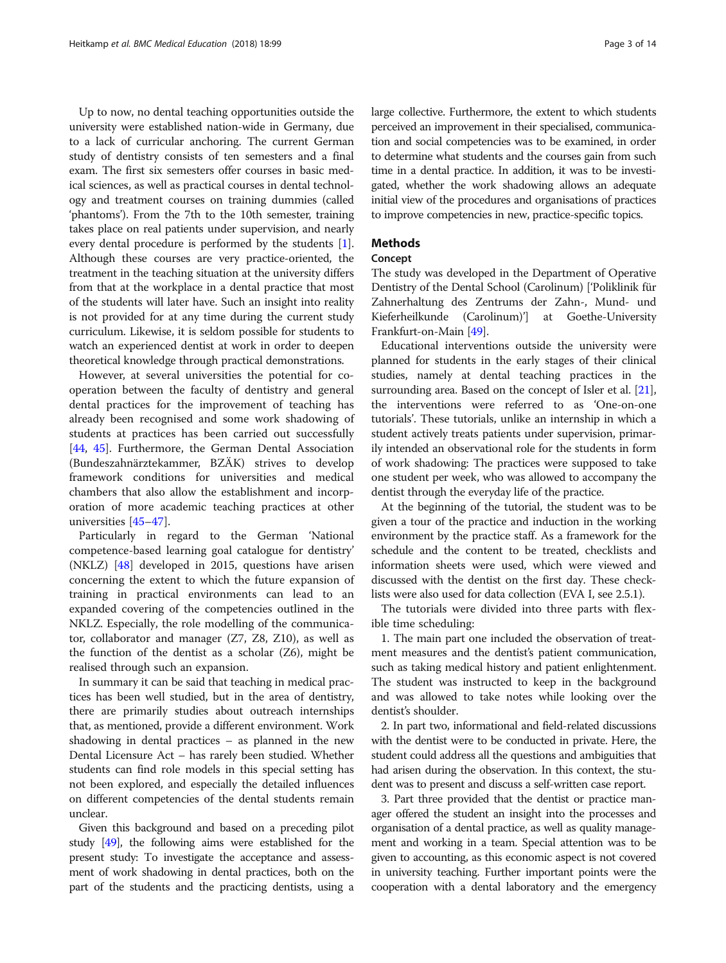Up to now, no dental teaching opportunities outside the university were established nation-wide in Germany, due to a lack of curricular anchoring. The current German study of dentistry consists of ten semesters and a final exam. The first six semesters offer courses in basic medical sciences, as well as practical courses in dental technology and treatment courses on training dummies (called 'phantoms'). From the 7th to the 10th semester, training takes place on real patients under supervision, and nearly every dental procedure is performed by the students [[1](#page-12-0)]. Although these courses are very practice-oriented, the treatment in the teaching situation at the university differs from that at the workplace in a dental practice that most of the students will later have. Such an insight into reality is not provided for at any time during the current study curriculum. Likewise, it is seldom possible for students to watch an experienced dentist at work in order to deepen theoretical knowledge through practical demonstrations.

However, at several universities the potential for cooperation between the faculty of dentistry and general dental practices for the improvement of teaching has already been recognised and some work shadowing of students at practices has been carried out successfully [[44,](#page-13-0) [45](#page-13-0)]. Furthermore, the German Dental Association (Bundeszahnärztekammer, BZÄK) strives to develop framework conditions for universities and medical chambers that also allow the establishment and incorporation of more academic teaching practices at other universities [[45](#page-13-0)–[47](#page-13-0)].

Particularly in regard to the German 'National competence-based learning goal catalogue for dentistry' (NKLZ) [[48](#page-13-0)] developed in 2015, questions have arisen concerning the extent to which the future expansion of training in practical environments can lead to an expanded covering of the competencies outlined in the NKLZ. Especially, the role modelling of the communicator, collaborator and manager (Z7, Z8, Z10), as well as the function of the dentist as a scholar (Z6), might be realised through such an expansion.

In summary it can be said that teaching in medical practices has been well studied, but in the area of dentistry, there are primarily studies about outreach internships that, as mentioned, provide a different environment. Work shadowing in dental practices – as planned in the new Dental Licensure Act – has rarely been studied. Whether students can find role models in this special setting has not been explored, and especially the detailed influences on different competencies of the dental students remain unclear.

Given this background and based on a preceding pilot study [\[49\]](#page-13-0), the following aims were established for the present study: To investigate the acceptance and assessment of work shadowing in dental practices, both on the part of the students and the practicing dentists, using a large collective. Furthermore, the extent to which students perceived an improvement in their specialised, communication and social competencies was to be examined, in order to determine what students and the courses gain from such time in a dental practice. In addition, it was to be investigated, whether the work shadowing allows an adequate initial view of the procedures and organisations of practices to improve competencies in new, practice-specific topics.

## Methods

## Concept

The study was developed in the Department of Operative Dentistry of the Dental School (Carolinum) ['Poliklinik für Zahnerhaltung des Zentrums der Zahn-, Mund- und Kieferheilkunde (Carolinum)'] at Goethe-University Frankfurt-on-Main [\[49](#page-13-0)].

Educational interventions outside the university were planned for students in the early stages of their clinical studies, namely at dental teaching practices in the surrounding area. Based on the concept of Isler et al. [[21](#page-13-0)], the interventions were referred to as 'One-on-one tutorials'. These tutorials, unlike an internship in which a student actively treats patients under supervision, primarily intended an observational role for the students in form of work shadowing: The practices were supposed to take one student per week, who was allowed to accompany the dentist through the everyday life of the practice.

At the beginning of the tutorial, the student was to be given a tour of the practice and induction in the working environment by the practice staff. As a framework for the schedule and the content to be treated, checklists and information sheets were used, which were viewed and discussed with the dentist on the first day. These checklists were also used for data collection (EVA I, see 2.5.1).

The tutorials were divided into three parts with flexible time scheduling:

1. The main part one included the observation of treatment measures and the dentist's patient communication, such as taking medical history and patient enlightenment. The student was instructed to keep in the background and was allowed to take notes while looking over the dentist's shoulder.

2. In part two, informational and field-related discussions with the dentist were to be conducted in private. Here, the student could address all the questions and ambiguities that had arisen during the observation. In this context, the student was to present and discuss a self-written case report.

3. Part three provided that the dentist or practice manager offered the student an insight into the processes and organisation of a dental practice, as well as quality management and working in a team. Special attention was to be given to accounting, as this economic aspect is not covered in university teaching. Further important points were the cooperation with a dental laboratory and the emergency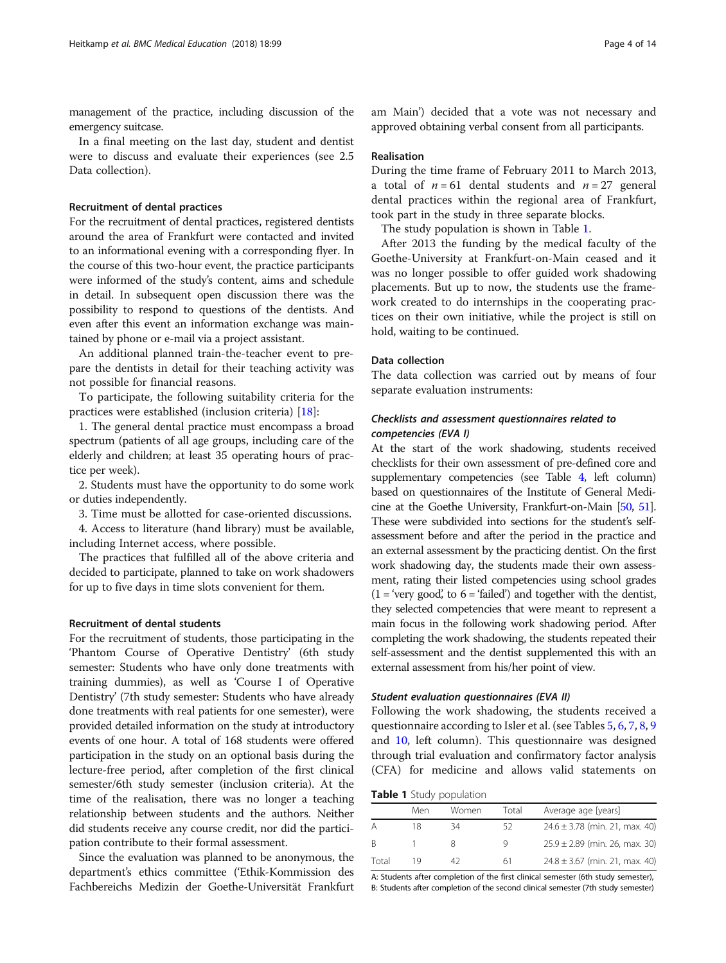management of the practice, including discussion of the emergency suitcase.

In a final meeting on the last day, student and dentist were to discuss and evaluate their experiences (see 2.5 Data collection).

#### Recruitment of dental practices

For the recruitment of dental practices, registered dentists around the area of Frankfurt were contacted and invited to an informational evening with a corresponding flyer. In the course of this two-hour event, the practice participants were informed of the study's content, aims and schedule in detail. In subsequent open discussion there was the possibility to respond to questions of the dentists. And even after this event an information exchange was maintained by phone or e-mail via a project assistant.

An additional planned train-the-teacher event to prepare the dentists in detail for their teaching activity was not possible for financial reasons.

To participate, the following suitability criteria for the practices were established (inclusion criteria) [[18\]](#page-13-0):

1. The general dental practice must encompass a broad spectrum (patients of all age groups, including care of the elderly and children; at least 35 operating hours of practice per week).

2. Students must have the opportunity to do some work or duties independently.

3. Time must be allotted for case-oriented discussions.

4. Access to literature (hand library) must be available, including Internet access, where possible.

The practices that fulfilled all of the above criteria and decided to participate, planned to take on work shadowers for up to five days in time slots convenient for them.

## Recruitment of dental students

For the recruitment of students, those participating in the 'Phantom Course of Operative Dentistry' (6th study semester: Students who have only done treatments with training dummies), as well as 'Course I of Operative Dentistry' (7th study semester: Students who have already done treatments with real patients for one semester), were provided detailed information on the study at introductory events of one hour. A total of 168 students were offered participation in the study on an optional basis during the lecture-free period, after completion of the first clinical semester/6th study semester (inclusion criteria). At the time of the realisation, there was no longer a teaching relationship between students and the authors. Neither did students receive any course credit, nor did the participation contribute to their formal assessment.

Since the evaluation was planned to be anonymous, the department's ethics committee ('Ethik-Kommission des Fachbereichs Medizin der Goethe-Universität Frankfurt

am Main') decided that a vote was not necessary and approved obtaining verbal consent from all participants.

#### Realisation

During the time frame of February 2011 to March 2013, a total of  $n = 61$  dental students and  $n = 27$  general dental practices within the regional area of Frankfurt, took part in the study in three separate blocks.

The study population is shown in Table 1.

After 2013 the funding by the medical faculty of the Goethe-University at Frankfurt-on-Main ceased and it was no longer possible to offer guided work shadowing placements. But up to now, the students use the framework created to do internships in the cooperating practices on their own initiative, while the project is still on hold, waiting to be continued.

## Data collection

The data collection was carried out by means of four separate evaluation instruments:

## Checklists and assessment questionnaires related to competencies (EVA I)

At the start of the work shadowing, students received checklists for their own assessment of pre-defined core and supplementary competencies (see Table [4](#page-6-0), left column) based on questionnaires of the Institute of General Medicine at the Goethe University, Frankfurt-on-Main [\[50](#page-13-0), [51](#page-13-0)]. These were subdivided into sections for the student's selfassessment before and after the period in the practice and an external assessment by the practicing dentist. On the first work shadowing day, the students made their own assessment, rating their listed competencies using school grades  $(1 = 'very good', to 6 = 'failed')$  and together with the dentist, they selected competencies that were meant to represent a main focus in the following work shadowing period. After completing the work shadowing, the students repeated their self-assessment and the dentist supplemented this with an external assessment from his/her point of view.

## Student evaluation questionnaires (EVA II)

Following the work shadowing, the students received a questionnaire according to Isler et al. (seeTables [5](#page-6-0), [6,](#page-7-0) [7,](#page-7-0) [8,](#page-8-0) [9](#page-8-0) and [10](#page-9-0), left column). This questionnaire was designed through trial evaluation and confirmatory factor analysis (CFA) for medicine and allows valid statements on

| Table 1 Study population |  |  |  |
|--------------------------|--|--|--|
|--------------------------|--|--|--|

|       | Men | Women | Total | Average age [years]                |
|-------|-----|-------|-------|------------------------------------|
|       | 18  | 34    | 52    | $24.6 \pm 3.78$ (min. 21, max. 40) |
|       |     |       |       | $25.9 \pm 2.89$ (min. 26, max. 30) |
| Total | 19  | 47    | 61    | $24.8 \pm 3.67$ (min. 21, max. 40) |

A: Students after completion of the first clinical semester (6th study semester), B: Students after completion of the second clinical semester (7th study semester)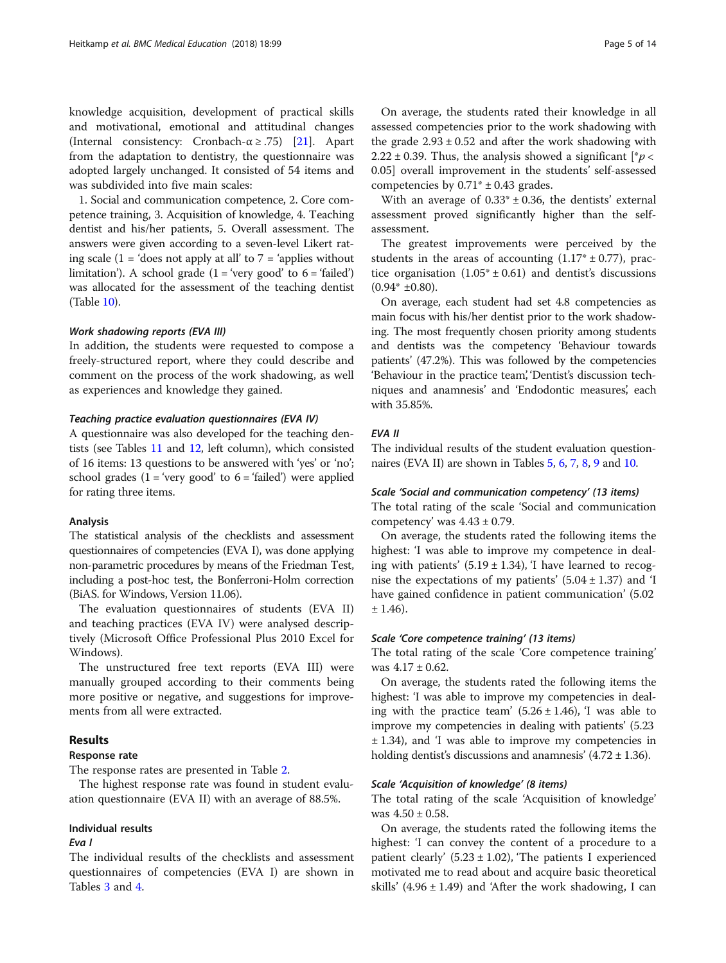knowledge acquisition, development of practical skills and motivational, emotional and attitudinal changes (Internal consistency: Cronbach- $\alpha \geq .75$ ) [\[21](#page-13-0)]. Apart from the adaptation to dentistry, the questionnaire was adopted largely unchanged. It consisted of 54 items and was subdivided into five main scales:

1. Social and communication competence, 2. Core competence training, 3. Acquisition of knowledge, 4. Teaching dentist and his/her patients, 5. Overall assessment. The answers were given according to a seven-level Likert rating scale (1 = 'does not apply at all' to  $7$  = 'applies without limitation'). A school grade  $(1 = 'very good' to 6 = 'failed')$ was allocated for the assessment of the teaching dentist (Table [10\)](#page-9-0).

## Work shadowing reports (EVA III)

In addition, the students were requested to compose a freely-structured report, where they could describe and comment on the process of the work shadowing, as well as experiences and knowledge they gained.

#### Teaching practice evaluation questionnaires (EVA IV)

A questionnaire was also developed for the teaching dentists (see Tables [11](#page-9-0) and [12,](#page-10-0) left column), which consisted of 16 items: 13 questions to be answered with 'yes' or 'no'; school grades  $(1 = 'very good' to 6 = 'failed')$  were applied for rating three items.

#### Analysis

The statistical analysis of the checklists and assessment questionnaires of competencies (EVA I), was done applying non-parametric procedures by means of the Friedman Test, including a post-hoc test, the Bonferroni-Holm correction (BiAS. for Windows, Version 11.06).

The evaluation questionnaires of students (EVA II) and teaching practices (EVA IV) were analysed descriptively (Microsoft Office Professional Plus 2010 Excel for Windows).

The unstructured free text reports (EVA III) were manually grouped according to their comments being more positive or negative, and suggestions for improvements from all were extracted.

## Results

## Response rate

The response rates are presented in Table [2.](#page-5-0)

The highest response rate was found in student evaluation questionnaire (EVA II) with an average of 88.5%.

## Individual results

## Eva I

The individual results of the checklists and assessment questionnaires of competencies (EVA I) are shown in Tables [3](#page-5-0) and [4](#page-6-0).

On average, the students rated their knowledge in all assessed competencies prior to the work shadowing with the grade  $2.93 \pm 0.52$  and after the work shadowing with 2.22  $\pm$  0.39. Thus, the analysis showed a significant [\* $p$  < 0.05] overall improvement in the students' self-assessed competencies by  $0.71^* \pm 0.43$  grades.

With an average of  $0.33* \pm 0.36$ , the dentists' external assessment proved significantly higher than the selfassessment.

The greatest improvements were perceived by the students in the areas of accounting  $(1.17 * ± 0.77)$ , practice organisation  $(1.05 * ± 0.61)$  and dentist's discussions  $(0.94* \pm 0.80).$ 

On average, each student had set 4.8 competencies as main focus with his/her dentist prior to the work shadowing. The most frequently chosen priority among students and dentists was the competency 'Behaviour towards patients' (47.2%). This was followed by the competencies 'Behaviour in the practice team', 'Dentist's discussion techniques and anamnesis' and 'Endodontic measures', each with 35.85%.

## EVA II

The individual results of the student evaluation questionnaires (EVA II) are shown in Tables [5,](#page-6-0) [6](#page-7-0), [7,](#page-7-0) [8](#page-8-0), [9](#page-8-0) and [10.](#page-9-0)

#### Scale 'Social and communication competency' (13 items)

The total rating of the scale 'Social and communication competency' was  $4.43 \pm 0.79$ .

On average, the students rated the following items the highest: 'I was able to improve my competence in dealing with patients'  $(5.19 \pm 1.34)$ , 'I have learned to recognise the expectations of my patients'  $(5.04 \pm 1.37)$  and 'I have gained confidence in patient communication' (5.02  $± 1.46$ ).

#### Scale 'Core competence training' (13 items)

The total rating of the scale 'Core competence training' was  $4.17 \pm 0.62$ .

On average, the students rated the following items the highest: 'I was able to improve my competencies in dealing with the practice team'  $(5.26 \pm 1.46)$ , 'I was able to improve my competencies in dealing with patients' (5.23  $\pm$  1.34), and 'I was able to improve my competencies in holding dentist's discussions and anamnesis'  $(4.72 \pm 1.36)$ .

#### Scale 'Acquisition of knowledge' (8 items)

The total rating of the scale 'Acquisition of knowledge' was  $4.50 \pm 0.58$ .

On average, the students rated the following items the highest: 'I can convey the content of a procedure to a patient clearly'  $(5.23 \pm 1.02)$ , 'The patients I experienced motivated me to read about and acquire basic theoretical skills'  $(4.96 \pm 1.49)$  and 'After the work shadowing, I can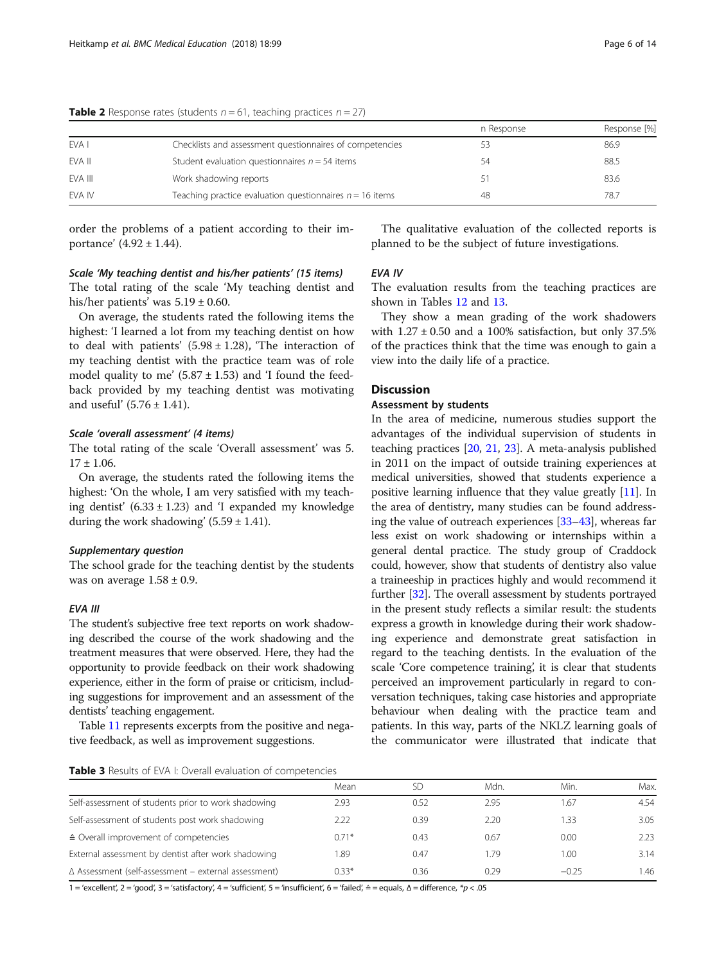|               |                                                            | n Response | Response [%] |
|---------------|------------------------------------------------------------|------------|--------------|
| <b>FVAI</b>   | Checklists and assessment questionnaires of competencies   |            | 86.9         |
| EVA II        | Student evaluation questionnaires $n = 54$ items           | 54         | 88.5         |
| EVA III       | Work shadowing reports                                     | 51         | 83.6         |
| <b>FVA IV</b> | Teaching practice evaluation questionnaires $n = 16$ items | 48         | 78.7         |

<span id="page-5-0"></span>**Table 2** Response rates (students  $n = 61$ , teaching practices  $n = 27$ )

order the problems of a patient according to their importance' (4.92 ± 1.44).

The qualitative evaluation of the collected reports is planned to be the subject of future investigations.

## Scale 'My teaching dentist and his/her patients' (15 items)

The total rating of the scale 'My teaching dentist and his/her patients' was  $5.19 \pm 0.60$ .

On average, the students rated the following items the highest: 'I learned a lot from my teaching dentist on how to deal with patients'  $(5.98 \pm 1.28)$ , 'The interaction of my teaching dentist with the practice team was of role model quality to me'  $(5.87 \pm 1.53)$  and 'I found the feedback provided by my teaching dentist was motivating and useful' (5.76 ± 1.41).

## Scale 'overall assessment' (4 items)

The total rating of the scale 'Overall assessment' was 5.  $17 \pm 1.06$ .

On average, the students rated the following items the highest: 'On the whole, I am very satisfied with my teaching dentist'  $(6.33 \pm 1.23)$  and 'I expanded my knowledge during the work shadowing'  $(5.59 \pm 1.41)$ .

#### Supplementary question

The school grade for the teaching dentist by the students was on average  $1.58 \pm 0.9$ .

#### EVA III

The student's subjective free text reports on work shadowing described the course of the work shadowing and the treatment measures that were observed. Here, they had the opportunity to provide feedback on their work shadowing experience, either in the form of praise or criticism, including suggestions for improvement and an assessment of the dentists' teaching engagement.

Table [11](#page-9-0) represents excerpts from the positive and negative feedback, as well as improvement suggestions.

## EVA IV

The evaluation results from the teaching practices are shown in Tables [12](#page-10-0) and [13](#page-10-0).

They show a mean grading of the work shadowers with  $1.27 \pm 0.50$  and a 100% satisfaction, but only 37.5% of the practices think that the time was enough to gain a view into the daily life of a practice.

## Discussion

## Assessment by students

In the area of medicine, numerous studies support the advantages of the individual supervision of students in teaching practices [[20](#page-13-0), [21](#page-13-0), [23\]](#page-13-0). A meta-analysis published in 2011 on the impact of outside training experiences at medical universities, showed that students experience a positive learning influence that they value greatly [[11](#page-12-0)]. In the area of dentistry, many studies can be found addressing the value of outreach experiences [[33](#page-13-0)–[43\]](#page-13-0), whereas far less exist on work shadowing or internships within a general dental practice. The study group of Craddock could, however, show that students of dentistry also value a traineeship in practices highly and would recommend it further [\[32](#page-13-0)]. The overall assessment by students portrayed in the present study reflects a similar result: the students express a growth in knowledge during their work shadowing experience and demonstrate great satisfaction in regard to the teaching dentists. In the evaluation of the scale 'Core competence training', it is clear that students perceived an improvement particularly in regard to conversation techniques, taking case histories and appropriate behaviour when dealing with the practice team and patients. In this way, parts of the NKLZ learning goals of the communicator were illustrated that indicate that

Table 3 Results of FVA I: Overall evaluation of competencies

|                                                                | Mean    | SD   | Mdn. | Min.    | Max. |
|----------------------------------------------------------------|---------|------|------|---------|------|
| Self-assessment of students prior to work shadowing            | 2.93    | 0.52 | 2.95 | 1.67    | 4.54 |
| Self-assessment of students post work shadowing                | 2.22    | 0.39 | 2.20 | 1.33    | 3.05 |
| $\triangle$ Overall improvement of competencies                | $0.71*$ | 0.43 | 0.67 | 0.00    | 2.23 |
| External assessment by dentist after work shadowing            | -89     | 0.47 | 1.79 | 1.00    | 3.14 |
| $\triangle$ Assessment (self-assessment – external assessment) | $0.33*$ | 0.36 | 0.29 | $-0.25$ | .46  |

1 = 'excellent',2= 'good',3= 'satisfactory',4= 'sufficient', 5= 'insufficient',6= 'failed', ≙ = equals, Δ = difference, \*p < .05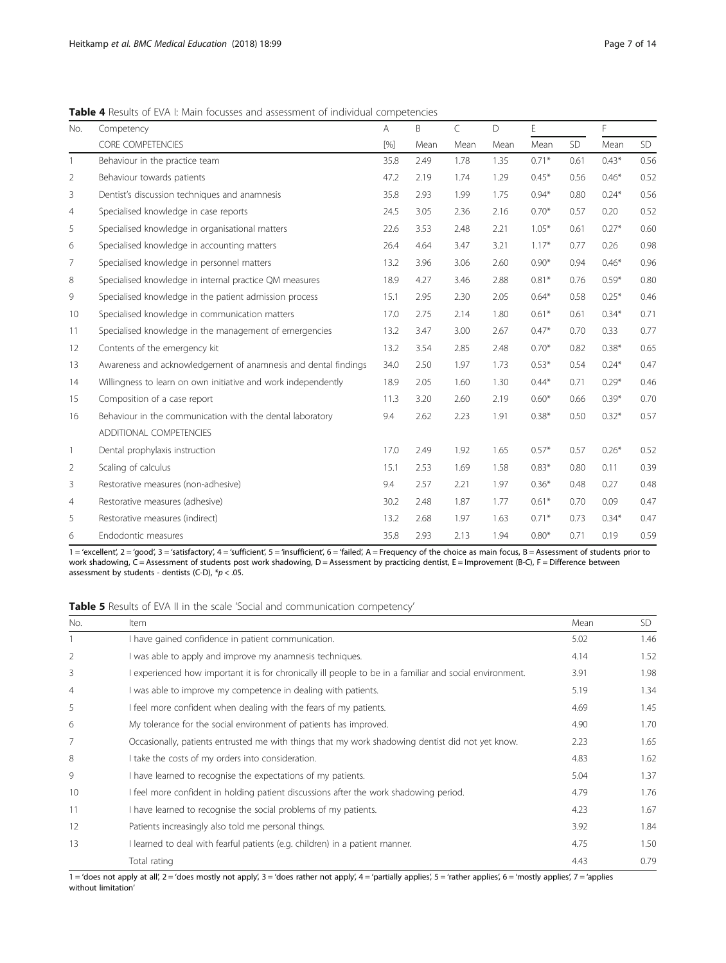<span id="page-6-0"></span>Table 4 Results of EVA I: Main focusses and assessment of individual competencies

| No.            | Competency                                                     | A    | B    | C    | D    | E.      |      | F       |           |
|----------------|----------------------------------------------------------------|------|------|------|------|---------|------|---------|-----------|
|                | <b>CORE COMPETENCIES</b>                                       | [%]  | Mean | Mean | Mean | Mean    | SD.  | Mean    | <b>SD</b> |
| 1              | Behaviour in the practice team                                 | 35.8 | 2.49 | 1.78 | 1.35 | $0.71*$ | 0.61 | $0.43*$ | 0.56      |
| 2              | Behaviour towards patients                                     | 47.2 | 2.19 | 1.74 | 1.29 | $0.45*$ | 0.56 | $0.46*$ | 0.52      |
| 3              | Dentist's discussion techniques and anamnesis                  | 35.8 | 2.93 | 1.99 | 1.75 | $0.94*$ | 0.80 | $0.24*$ | 0.56      |
| 4              | Specialised knowledge in case reports                          | 24.5 | 3.05 | 2.36 | 2.16 | $0.70*$ | 0.57 | 0.20    | 0.52      |
| 5              | Specialised knowledge in organisational matters                | 22.6 | 3.53 | 2.48 | 2.21 | $1.05*$ | 0.61 | $0.27*$ | 0.60      |
| 6              | Specialised knowledge in accounting matters                    | 26.4 | 4.64 | 3.47 | 3.21 | $1.17*$ | 0.77 | 0.26    | 0.98      |
| 7              | Specialised knowledge in personnel matters                     | 13.2 | 3.96 | 3.06 | 2.60 | $0.90*$ | 0.94 | $0.46*$ | 0.96      |
| 8              | Specialised knowledge in internal practice QM measures         | 18.9 | 4.27 | 3.46 | 2.88 | $0.81*$ | 0.76 | $0.59*$ | 0.80      |
| 9              | Specialised knowledge in the patient admission process         | 15.1 | 2.95 | 2.30 | 2.05 | $0.64*$ | 0.58 | $0.25*$ | 0.46      |
| 10             | Specialised knowledge in communication matters                 | 17.0 | 2.75 | 2.14 | 1.80 | $0.61*$ | 0.61 | $0.34*$ | 0.71      |
| 11             | Specialised knowledge in the management of emergencies         | 13.2 | 3.47 | 3.00 | 2.67 | $0.47*$ | 0.70 | 0.33    | 0.77      |
| 12             | Contents of the emergency kit                                  | 13.2 | 3.54 | 2.85 | 2.48 | $0.70*$ | 0.82 | $0.38*$ | 0.65      |
| 13             | Awareness and acknowledgement of anamnesis and dental findings | 34.0 | 2.50 | 1.97 | 1.73 | $0.53*$ | 0.54 | $0.24*$ | 0.47      |
| 14             | Willingness to learn on own initiative and work independently  | 18.9 | 2.05 | 1.60 | 1.30 | $0.44*$ | 0.71 | $0.29*$ | 0.46      |
| 15             | Composition of a case report                                   | 11.3 | 3.20 | 2.60 | 2.19 | $0.60*$ | 0.66 | $0.39*$ | 0.70      |
| 16             | Behaviour in the communication with the dental laboratory      | 9.4  | 2.62 | 2.23 | 1.91 | $0.38*$ | 0.50 | $0.32*$ | 0.57      |
|                | ADDITIONAL COMPETENCIES                                        |      |      |      |      |         |      |         |           |
| 1              | Dental prophylaxis instruction                                 | 17.0 | 2.49 | 1.92 | 1.65 | $0.57*$ | 0.57 | $0.26*$ | 0.52      |
| 2              | Scaling of calculus                                            | 15.1 | 2.53 | 1.69 | 1.58 | $0.83*$ | 0.80 | 0.11    | 0.39      |
| 3              | Restorative measures (non-adhesive)                            | 9.4  | 2.57 | 2.21 | 1.97 | $0.36*$ | 0.48 | 0.27    | 0.48      |
| $\overline{4}$ | Restorative measures (adhesive)                                | 30.2 | 2.48 | 1.87 | 1.77 | $0.61*$ | 0.70 | 0.09    | 0.47      |
| 5              | Restorative measures (indirect)                                | 13.2 | 2.68 | 1.97 | 1.63 | $0.71*$ | 0.73 | $0.34*$ | 0.47      |
| 6              | Endodontic measures                                            | 35.8 | 2.93 | 2.13 | 1.94 | $0.80*$ | 0.71 | 0.19    | 0.59      |

1 = 'excellent', 2 = 'good', 3 = 'satisfactory', 4 = 'sufficient', 5 = 'insufficient', 6 = 'failed', A = Frequency of the choice as main focus, B = Assessment of students prior to work shadowing,  $\tilde{C} =$  Assessment of students post work shadowing, D = Assessment by practicing dentist, E = Improvement (B-C), F = Difference between assessment by students - dentists (C-D),  $* p < .05$ .

| <b>Table 5</b> Results of EVA II in the scale 'Social and communication competency' |  |
|-------------------------------------------------------------------------------------|--|
|-------------------------------------------------------------------------------------|--|

| No.            | Item                                                                                                     | Mean | SD   |
|----------------|----------------------------------------------------------------------------------------------------------|------|------|
|                | I have gained confidence in patient communication.                                                       | 5.02 | 1.46 |
| 2              | I was able to apply and improve my anamnesis techniques.                                                 | 4.14 | 1.52 |
| 3              | I experienced how important it is for chronically ill people to be in a familiar and social environment. | 3.91 | 1.98 |
| $\overline{4}$ | I was able to improve my competence in dealing with patients.                                            | 5.19 | 1.34 |
| 5              | I feel more confident when dealing with the fears of my patients.                                        | 4.69 | 1.45 |
| 6              | My tolerance for the social environment of patients has improved.                                        | 4.90 | 1.70 |
| 7              | Occasionally, patients entrusted me with things that my work shadowing dentist did not yet know.         | 2.23 | 1.65 |
| 8              | I take the costs of my orders into consideration.                                                        | 4.83 | 1.62 |
| 9              | I have learned to recognise the expectations of my patients.                                             | 5.04 | 1.37 |
| 10             | I feel more confident in holding patient discussions after the work shadowing period.                    | 4.79 | 1.76 |
| 11             | I have learned to recognise the social problems of my patients.                                          | 4.23 | 1.67 |
| 12             | Patients increasingly also told me personal things.                                                      | 3.92 | 1.84 |
| 13             | I learned to deal with fearful patients (e.g. children) in a patient manner.                             | 4.75 | 1.50 |
|                | Total rating                                                                                             | 4.43 | 0.79 |

1 = 'does not apply at all', 2= 'does mostly not apply',3= 'does rather not apply', 4= 'partially applies', 5= 'rather applies',6= 'mostly applies',7= 'applies without limitation'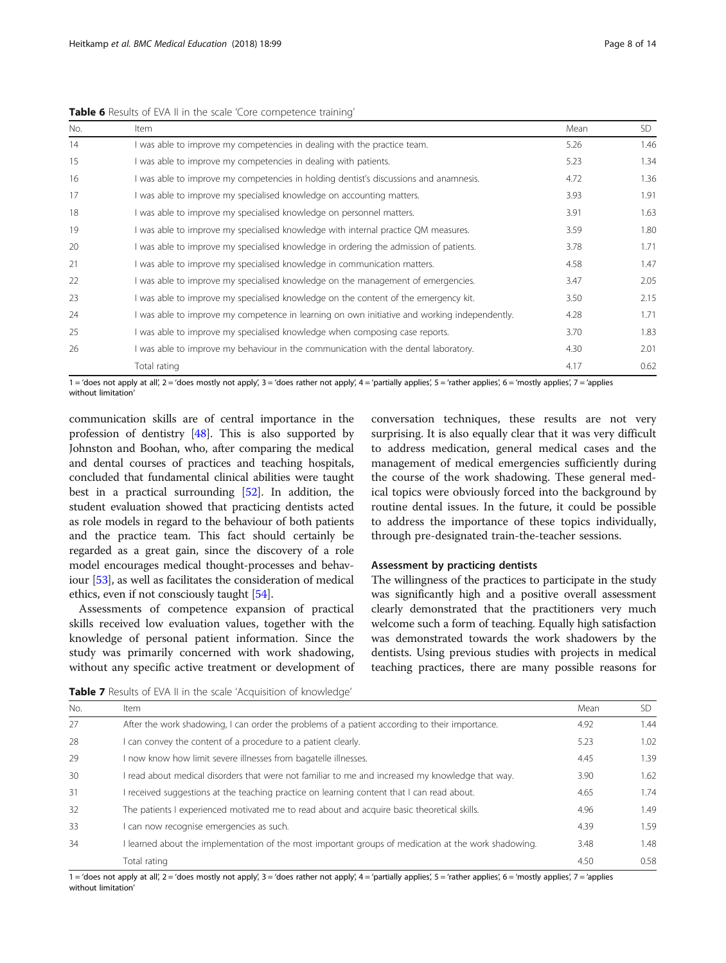| No. | Item                                                                                         | Mean | SD   |
|-----|----------------------------------------------------------------------------------------------|------|------|
| 14  | I was able to improve my competencies in dealing with the practice team.                     | 5.26 | 1.46 |
| 15  | I was able to improve my competencies in dealing with patients.                              | 5.23 | 1.34 |
| 16  | I was able to improve my competencies in holding dentist's discussions and anamnesis.        | 4.72 | 1.36 |
| 17  | I was able to improve my specialised knowledge on accounting matters.                        | 3.93 | 1.91 |
| 18  | I was able to improve my specialised knowledge on personnel matters.                         | 3.91 | 1.63 |
| 19  | I was able to improve my specialised knowledge with internal practice QM measures.           | 3.59 | 1.80 |
| 20  | I was able to improve my specialised knowledge in ordering the admission of patients.        | 3.78 | 1.71 |
| 21  | I was able to improve my specialised knowledge in communication matters.                     | 4.58 | 1.47 |
| 22  | I was able to improve my specialised knowledge on the management of emergencies.             | 3.47 | 2.05 |
| 23  | I was able to improve my specialised knowledge on the content of the emergency kit.          | 3.50 | 2.15 |
| 24  | I was able to improve my competence in learning on own initiative and working independently. | 4.28 | 1.71 |
| 25  | I was able to improve my specialised knowledge when composing case reports.                  | 3.70 | 1.83 |
| 26  | I was able to improve my behaviour in the communication with the dental laboratory.          | 4.30 | 2.01 |
|     | Total rating                                                                                 | 4.17 | 0.62 |

<span id="page-7-0"></span>Table 6 Results of EVA II in the scale 'Core competence training'

 $1 =$  'does not apply at all',  $2 =$  'does mostly not apply',  $3 =$  'does rather not apply',  $4 =$  'partially applies',  $5 =$  'rather applies',  $6 =$  'mostly applies',  $7 =$  'applies' without limitation'

communication skills are of central importance in the profession of dentistry [[48](#page-13-0)]. This is also supported by Johnston and Boohan, who, after comparing the medical and dental courses of practices and teaching hospitals, concluded that fundamental clinical abilities were taught best in a practical surrounding [\[52](#page-13-0)]. In addition, the student evaluation showed that practicing dentists acted as role models in regard to the behaviour of both patients and the practice team. This fact should certainly be regarded as a great gain, since the discovery of a role model encourages medical thought-processes and behaviour [[53](#page-13-0)], as well as facilitates the consideration of medical ethics, even if not consciously taught [\[54](#page-13-0)].

Assessments of competence expansion of practical skills received low evaluation values, together with the knowledge of personal patient information. Since the study was primarily concerned with work shadowing, without any specific active treatment or development of

conversation techniques, these results are not very surprising. It is also equally clear that it was very difficult to address medication, general medical cases and the management of medical emergencies sufficiently during the course of the work shadowing. These general medical topics were obviously forced into the background by routine dental issues. In the future, it could be possible to address the importance of these topics individually, through pre-designated train-the-teacher sessions.

## Assessment by practicing dentists

The willingness of the practices to participate in the study was significantly high and a positive overall assessment clearly demonstrated that the practitioners very much welcome such a form of teaching. Equally high satisfaction was demonstrated towards the work shadowers by the dentists. Using previous studies with projects in medical teaching practices, there are many possible reasons for

| No. | Item                                                                                                 | Mean | SD.  |
|-----|------------------------------------------------------------------------------------------------------|------|------|
| 27  | After the work shadowing, I can order the problems of a patient according to their importance.       | 4.92 | 1.44 |
| 28  | can convey the content of a procedure to a patient clearly.                                          | 5.23 | 1.02 |
| 29  | I now know how limit severe illnesses from bagatelle illnesses.                                      | 4.45 | 1.39 |
| 30  | I read about medical disorders that were not familiar to me and increased my knowledge that way.     | 3.90 | 1.62 |
| 31  | I received suggestions at the teaching practice on learning content that I can read about.           | 4.65 | 1.74 |
| 32  | The patients I experienced motivated me to read about and acquire basic theoretical skills.          | 4.96 | 1.49 |
| 33  | can now recognise emergencies as such.                                                               | 4.39 | 1.59 |
| 34  | I learned about the implementation of the most important groups of medication at the work shadowing. | 3.48 | 1.48 |
|     | Total rating                                                                                         | 4.50 | 0.58 |

Table 7 Results of EVA II in the scale 'Acquisition of knowledge'

1 = 'does not apply at all', 2= 'does mostly not apply',3= 'does rather not apply', 4= 'partially applies', 5= 'rather applies',6= 'mostly applies',7= 'applies without limitation'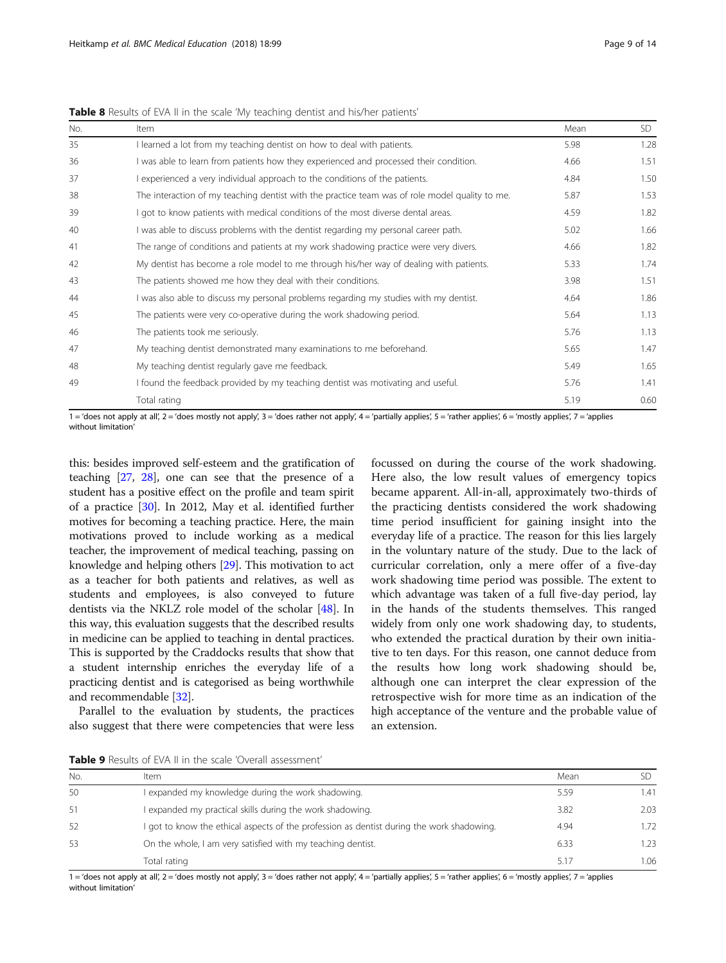| No. | Item                                                                                           | Mean | SD   |
|-----|------------------------------------------------------------------------------------------------|------|------|
| 35  | I learned a lot from my teaching dentist on how to deal with patients.                         | 5.98 | 1.28 |
| 36  | I was able to learn from patients how they experienced and processed their condition.          | 4.66 | 1.51 |
| 37  | I experienced a very individual approach to the conditions of the patients.                    | 4.84 | 1.50 |
| 38  | The interaction of my teaching dentist with the practice team was of role model quality to me. | 5.87 | 1.53 |
| 39  | I got to know patients with medical conditions of the most diverse dental areas.               | 4.59 | 1.82 |
| 40  | I was able to discuss problems with the dentist regarding my personal career path.             | 5.02 | 1.66 |
| 41  | The range of conditions and patients at my work shadowing practice were very divers.           | 4.66 | 1.82 |
| 42  | My dentist has become a role model to me through his/her way of dealing with patients.         | 5.33 | 1.74 |
| 43  | The patients showed me how they deal with their conditions.                                    | 3.98 | 1.51 |
| 44  | I was also able to discuss my personal problems regarding my studies with my dentist.          | 4.64 | 1.86 |
| 45  | The patients were very co-operative during the work shadowing period.                          | 5.64 | 1.13 |
| 46  | The patients took me seriously.                                                                | 5.76 | 1.13 |
| 47  | My teaching dentist demonstrated many examinations to me beforehand.                           | 5.65 | 1.47 |
| 48  | My teaching dentist regularly gave me feedback.                                                | 5.49 | 1.65 |
| 49  | I found the feedback provided by my teaching dentist was motivating and useful.                | 5.76 | 1.41 |
|     | Total rating                                                                                   | 5.19 | 0.60 |

<span id="page-8-0"></span>Table 8 Results of EVA II in the scale 'My teaching dentist and his/her patients'

1 = 'does not apply at all', 2 = 'does mostly not apply', 3 = 'does rather not apply', 4 = 'partially applies', 5 = 'rather applies', 6 = 'mostly applies', 7 = 'applies without limitation'

this: besides improved self-esteem and the gratification of teaching [[27](#page-13-0), [28\]](#page-13-0), one can see that the presence of a student has a positive effect on the profile and team spirit of a practice [\[30](#page-13-0)]. In 2012, May et al. identified further motives for becoming a teaching practice. Here, the main motivations proved to include working as a medical teacher, the improvement of medical teaching, passing on knowledge and helping others [\[29\]](#page-13-0). This motivation to act as a teacher for both patients and relatives, as well as students and employees, is also conveyed to future dentists via the NKLZ role model of the scholar [\[48](#page-13-0)]. In this way, this evaluation suggests that the described results in medicine can be applied to teaching in dental practices. This is supported by the Craddocks results that show that a student internship enriches the everyday life of a practicing dentist and is categorised as being worthwhile and recommendable [\[32\]](#page-13-0).

Parallel to the evaluation by students, the practices also suggest that there were competencies that were less focussed on during the course of the work shadowing. Here also, the low result values of emergency topics became apparent. All-in-all, approximately two-thirds of the practicing dentists considered the work shadowing time period insufficient for gaining insight into the everyday life of a practice. The reason for this lies largely in the voluntary nature of the study. Due to the lack of curricular correlation, only a mere offer of a five-day work shadowing time period was possible. The extent to which advantage was taken of a full five-day period, lay in the hands of the students themselves. This ranged widely from only one work shadowing day, to students, who extended the practical duration by their own initiative to ten days. For this reason, one cannot deduce from the results how long work shadowing should be, although one can interpret the clear expression of the retrospective wish for more time as an indication of the high acceptance of the venture and the probable value of an extension.

**Table 9** Results of EVA II in the scale 'Overall assessment'

| No. | Item                                                                                      | Mean |      |
|-----|-------------------------------------------------------------------------------------------|------|------|
| 50  | I expanded my knowledge during the work shadowing.                                        | 5.59 | 1.41 |
| 51  | I expanded my practical skills during the work shadowing.                                 | 3.82 | 2.03 |
| 52  | I got to know the ethical aspects of the profession as dentist during the work shadowing. | 4.94 | 1.72 |
| 53  | On the whole, I am very satisfied with my teaching dentist.                               | 6.33 | 1.23 |
|     | Total rating                                                                              | 5.17 | 1.06 |

1 = 'does not apply at all', 2 = 'does mostly not apply', 3 = 'does rather not apply', 4 = 'partially applies', 5 = 'rather applies', 6 = 'mostly applies', 7 = 'applies without limitation'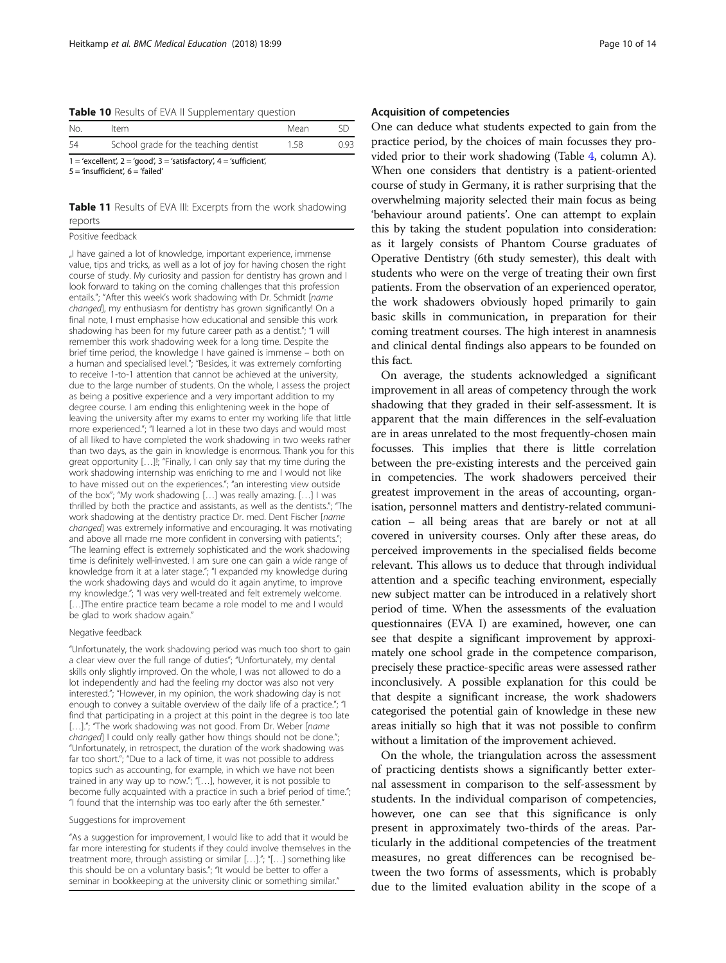<span id="page-9-0"></span>Table 10 Results of EVA II Supplementary question

| No. | ltem                                                                 | Mean |      |  |  |  |  |
|-----|----------------------------------------------------------------------|------|------|--|--|--|--|
| 54  | School grade for the teaching dentist                                | 1.58 | 0.93 |  |  |  |  |
|     | $1 = 'excellent', 2 = 'good', 3 = 'satisfactory', 4 = 'sufficient',$ |      |      |  |  |  |  |

 $5 =$ 'insufficient',  $6 =$ 'failed'

Table 11 Results of EVA III: Excerpts from the work shadowing reports

Positive feedback

"I have gained a lot of knowledge, important experience, immense value, tips and tricks, as well as a lot of joy for having chosen the right course of study. My curiosity and passion for dentistry has grown and I look forward to taking on the coming challenges that this profession entails."; "After this week's work shadowing with Dr. Schmidt [name changed], my enthusiasm for dentistry has grown significantly! On a final note, I must emphasise how educational and sensible this work shadowing has been for my future career path as a dentist."; "I will remember this work shadowing week for a long time. Despite the brief time period, the knowledge I have gained is immense – both on a human and specialised level."; "Besides, it was extremely comforting to receive 1-to-1 attention that cannot be achieved at the university, due to the large number of students. On the whole, I assess the project as being a positive experience and a very important addition to my degree course. I am ending this enlightening week in the hope of leaving the university after my exams to enter my working life that little more experienced."; "I learned a lot in these two days and would most of all liked to have completed the work shadowing in two weeks rather than two days, as the gain in knowledge is enormous. Thank you for this great opportunity […]!; "Finally, I can only say that my time during the work shadowing internship was enriching to me and I would not like to have missed out on the experiences."; "an interesting view outside of the box"; "My work shadowing […] was really amazing. […] I was thrilled by both the practice and assistants, as well as the dentists."; "The work shadowing at the dentistry practice Dr. med. Dent Fischer [name changed] was extremely informative and encouraging. It was motivating and above all made me more confident in conversing with patients."; "The learning effect is extremely sophisticated and the work shadowing time is definitely well-invested. I am sure one can gain a wide range of knowledge from it at a later stage."; "I expanded my knowledge during the work shadowing days and would do it again anytime, to improve my knowledge."; "I was very well-treated and felt extremely welcome. […]The entire practice team became a role model to me and I would be glad to work shadow again."

#### Negative feedback

"Unfortunately, the work shadowing period was much too short to gain a clear view over the full range of duties"; "Unfortunately, my dental skills only slightly improved. On the whole, I was not allowed to do a lot independently and had the feeling my doctor was also not very interested."; "However, in my opinion, the work shadowing day is not enough to convey a suitable overview of the daily life of a practice."; "I find that participating in a project at this point in the degree is too late [...]."; "The work shadowing was not good. From Dr. Weber [name] changed] I could only really gather how things should not be done."; "Unfortunately, in retrospect, the duration of the work shadowing was far too short."; "Due to a lack of time, it was not possible to address topics such as accounting, for example, in which we have not been trained in any way up to now."; "[…], however, it is not possible to become fully acquainted with a practice in such a brief period of time."; "I found that the internship was too early after the 6th semester."

#### Suggestions for improvement

"As a suggestion for improvement, I would like to add that it would be far more interesting for students if they could involve themselves in the treatment more, through assisting or similar […]."; "[…] something like this should be on a voluntary basis."; "It would be better to offer a seminar in bookkeeping at the university clinic or something similar."

#### Acquisition of competencies

One can deduce what students expected to gain from the practice period, by the choices of main focusses they provided prior to their work shadowing (Table [4,](#page-6-0) column A). When one considers that dentistry is a patient-oriented course of study in Germany, it is rather surprising that the overwhelming majority selected their main focus as being 'behaviour around patients'. One can attempt to explain this by taking the student population into consideration: as it largely consists of Phantom Course graduates of Operative Dentistry (6th study semester), this dealt with students who were on the verge of treating their own first patients. From the observation of an experienced operator, the work shadowers obviously hoped primarily to gain basic skills in communication, in preparation for their coming treatment courses. The high interest in anamnesis and clinical dental findings also appears to be founded on this fact.

On average, the students acknowledged a significant improvement in all areas of competency through the work shadowing that they graded in their self-assessment. It is apparent that the main differences in the self-evaluation are in areas unrelated to the most frequently-chosen main focusses. This implies that there is little correlation between the pre-existing interests and the perceived gain in competencies. The work shadowers perceived their greatest improvement in the areas of accounting, organisation, personnel matters and dentistry-related communication – all being areas that are barely or not at all covered in university courses. Only after these areas, do perceived improvements in the specialised fields become relevant. This allows us to deduce that through individual attention and a specific teaching environment, especially new subject matter can be introduced in a relatively short period of time. When the assessments of the evaluation questionnaires (EVA I) are examined, however, one can see that despite a significant improvement by approximately one school grade in the competence comparison, precisely these practice-specific areas were assessed rather inconclusively. A possible explanation for this could be that despite a significant increase, the work shadowers categorised the potential gain of knowledge in these new areas initially so high that it was not possible to confirm without a limitation of the improvement achieved.

On the whole, the triangulation across the assessment of practicing dentists shows a significantly better external assessment in comparison to the self-assessment by students. In the individual comparison of competencies, however, one can see that this significance is only present in approximately two-thirds of the areas. Particularly in the additional competencies of the treatment measures, no great differences can be recognised between the two forms of assessments, which is probably due to the limited evaluation ability in the scope of a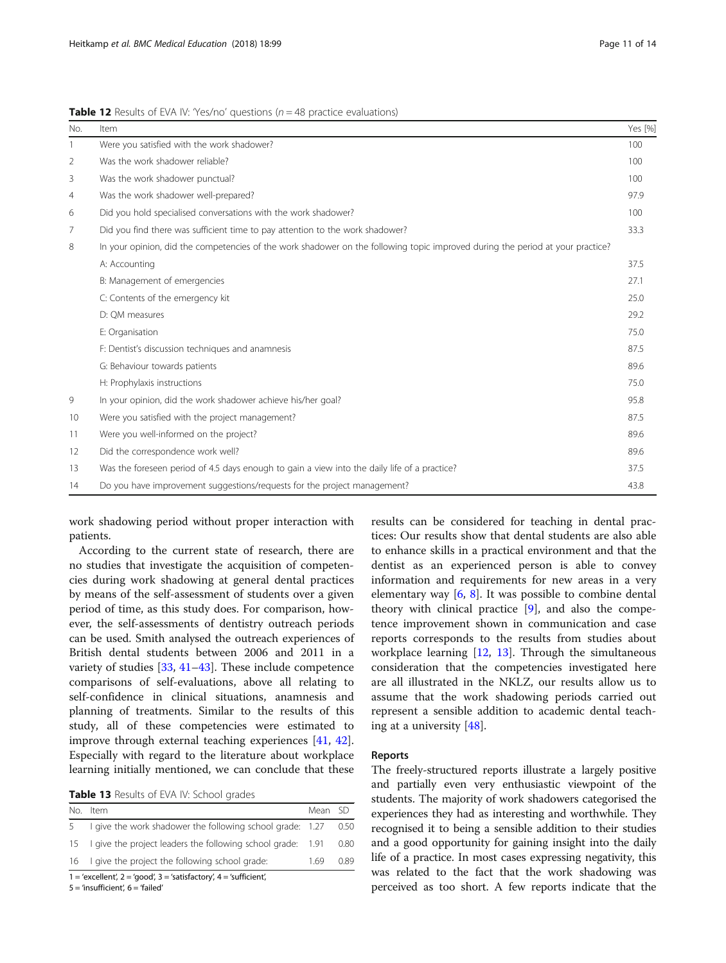<span id="page-10-0"></span>

|  | <b>Table 12</b> Results of EVA IV: 'Yes/no' questions ( $n = 48$ practice evaluations) |
|--|----------------------------------------------------------------------------------------|
|--|----------------------------------------------------------------------------------------|

| No.            | Item                                                                                                                           | Yes [%] |
|----------------|--------------------------------------------------------------------------------------------------------------------------------|---------|
|                | Were you satisfied with the work shadower?                                                                                     | 100     |
| 2              | Was the work shadower reliable?                                                                                                | 100     |
| 3              | Was the work shadower punctual?                                                                                                | 100     |
| $\overline{4}$ | Was the work shadower well-prepared?                                                                                           | 97.9    |
| 6              | Did you hold specialised conversations with the work shadower?                                                                 | 100     |
| 7              | Did you find there was sufficient time to pay attention to the work shadower?                                                  | 33.3    |
| 8              | In your opinion, did the competencies of the work shadower on the following topic improved during the period at your practice? |         |
|                | A: Accounting                                                                                                                  | 37.5    |
|                | B: Management of emergencies                                                                                                   | 27.1    |
|                | C: Contents of the emergency kit                                                                                               | 25.0    |
|                | D: OM measures                                                                                                                 | 29.2    |
|                | E: Organisation                                                                                                                | 75.0    |
|                | F: Dentist's discussion techniques and anamnesis                                                                               | 87.5    |
|                | G: Behaviour towards patients                                                                                                  | 89.6    |
|                | H: Prophylaxis instructions                                                                                                    | 75.0    |
| 9              | In your opinion, did the work shadower achieve his/her goal?                                                                   | 95.8    |
| 10             | Were you satisfied with the project management?                                                                                | 87.5    |
| 11             | Were you well-informed on the project?                                                                                         | 89.6    |
| 12             | Did the correspondence work well?                                                                                              | 89.6    |
| 13             | Was the foreseen period of 4.5 days enough to gain a view into the daily life of a practice?                                   | 37.5    |
| 14             | Do you have improvement suggestions/requests for the project management?                                                       | 43.8    |

work shadowing period without proper interaction with patients.

According to the current state of research, there are no studies that investigate the acquisition of competencies during work shadowing at general dental practices by means of the self-assessment of students over a given period of time, as this study does. For comparison, however, the self-assessments of dentistry outreach periods can be used. Smith analysed the outreach experiences of British dental students between 2006 and 2011 in a variety of studies [\[33](#page-13-0), [41](#page-13-0)–[43\]](#page-13-0). These include competence comparisons of self-evaluations, above all relating to self-confidence in clinical situations, anamnesis and planning of treatments. Similar to the results of this study, all of these competencies were estimated to improve through external teaching experiences [[41](#page-13-0), [42](#page-13-0)]. Especially with regard to the literature about workplace learning initially mentioned, we can conclude that these

Table 13 Results of EVA IV: School grades

|                                                                      | No. Item                                                      | Mean SD |      |  |
|----------------------------------------------------------------------|---------------------------------------------------------------|---------|------|--|
| 5.                                                                   | I give the work shadower the following school grade: 1.27     |         | 0.50 |  |
|                                                                      | 15 Laive the project leaders the following school grade: 1.91 |         | 0.80 |  |
|                                                                      | 16 I give the project the following school grade:             | 1.69    | 0.89 |  |
| $1 = 'excellent', 2 = 'good', 3 = 'satisfactory', 4 = 'sufficient',$ |                                                               |         |      |  |

 $5$  = 'insufficient',  $6$  = 'failed'

results can be considered for teaching in dental practices: Our results show that dental students are also able to enhance skills in a practical environment and that the dentist as an experienced person is able to convey information and requirements for new areas in a very elementary way [\[6](#page-12-0), [8\]](#page-12-0). It was possible to combine dental theory with clinical practice [\[9](#page-12-0)], and also the competence improvement shown in communication and case reports corresponds to the results from studies about workplace learning  $[12, 13]$  $[12, 13]$  $[12, 13]$  $[12, 13]$ . Through the simultaneous consideration that the competencies investigated here are all illustrated in the NKLZ, our results allow us to assume that the work shadowing periods carried out represent a sensible addition to academic dental teaching at a university [\[48\]](#page-13-0).

## Reports

The freely-structured reports illustrate a largely positive and partially even very enthusiastic viewpoint of the students. The majority of work shadowers categorised the experiences they had as interesting and worthwhile. They recognised it to being a sensible addition to their studies and a good opportunity for gaining insight into the daily life of a practice. In most cases expressing negativity, this was related to the fact that the work shadowing was perceived as too short. A few reports indicate that the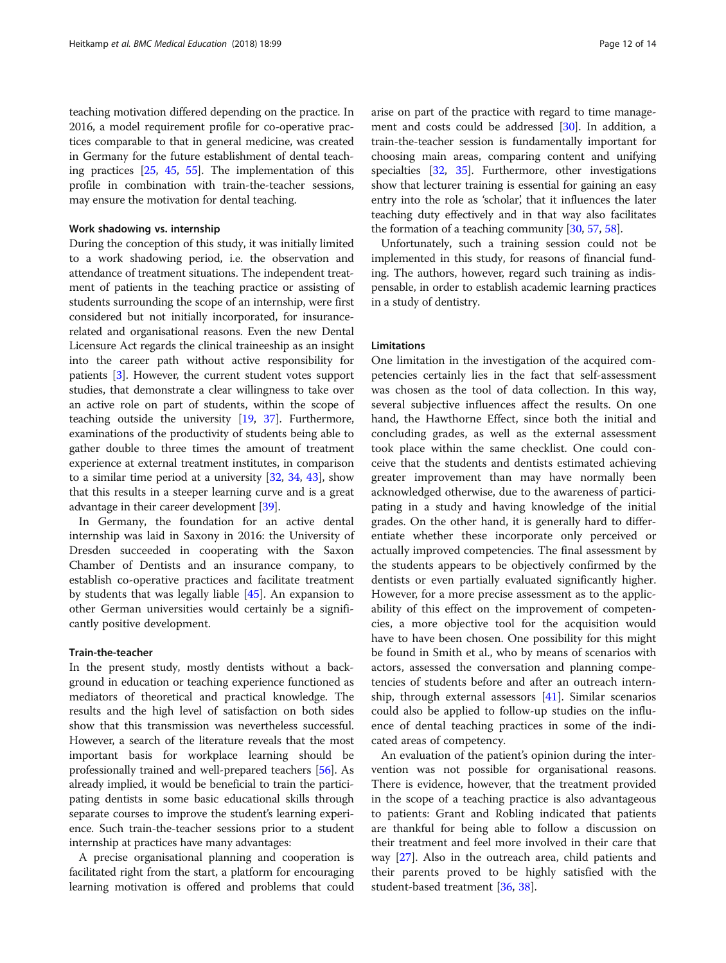teaching motivation differed depending on the practice. In 2016, a model requirement profile for co-operative practices comparable to that in general medicine, was created in Germany for the future establishment of dental teaching practices [\[25,](#page-13-0) [45,](#page-13-0) [55](#page-13-0)]. The implementation of this profile in combination with train-the-teacher sessions, may ensure the motivation for dental teaching.

## Work shadowing vs. internship

During the conception of this study, it was initially limited to a work shadowing period, i.e. the observation and attendance of treatment situations. The independent treatment of patients in the teaching practice or assisting of students surrounding the scope of an internship, were first considered but not initially incorporated, for insurancerelated and organisational reasons. Even the new Dental Licensure Act regards the clinical traineeship as an insight into the career path without active responsibility for patients [\[3](#page-12-0)]. However, the current student votes support studies, that demonstrate a clear willingness to take over an active role on part of students, within the scope of teaching outside the university [[19](#page-13-0), [37](#page-13-0)]. Furthermore, examinations of the productivity of students being able to gather double to three times the amount of treatment experience at external treatment institutes, in comparison to a similar time period at a university [\[32,](#page-13-0) [34,](#page-13-0) [43](#page-13-0)], show that this results in a steeper learning curve and is a great advantage in their career development [\[39\]](#page-13-0).

In Germany, the foundation for an active dental internship was laid in Saxony in 2016: the University of Dresden succeeded in cooperating with the Saxon Chamber of Dentists and an insurance company, to establish co-operative practices and facilitate treatment by students that was legally liable [\[45\]](#page-13-0). An expansion to other German universities would certainly be a significantly positive development.

#### Train-the-teacher

In the present study, mostly dentists without a background in education or teaching experience functioned as mediators of theoretical and practical knowledge. The results and the high level of satisfaction on both sides show that this transmission was nevertheless successful. However, a search of the literature reveals that the most important basis for workplace learning should be professionally trained and well-prepared teachers [[56](#page-13-0)]. As already implied, it would be beneficial to train the participating dentists in some basic educational skills through separate courses to improve the student's learning experience. Such train-the-teacher sessions prior to a student internship at practices have many advantages:

A precise organisational planning and cooperation is facilitated right from the start, a platform for encouraging learning motivation is offered and problems that could arise on part of the practice with regard to time management and costs could be addressed [\[30\]](#page-13-0). In addition, a train-the-teacher session is fundamentally important for choosing main areas, comparing content and unifying specialties [\[32,](#page-13-0) [35\]](#page-13-0). Furthermore, other investigations show that lecturer training is essential for gaining an easy entry into the role as 'scholar', that it influences the later teaching duty effectively and in that way also facilitates the formation of a teaching community [[30](#page-13-0), [57,](#page-13-0) [58\]](#page-13-0).

Unfortunately, such a training session could not be implemented in this study, for reasons of financial funding. The authors, however, regard such training as indispensable, in order to establish academic learning practices in a study of dentistry.

## Limitations

One limitation in the investigation of the acquired competencies certainly lies in the fact that self-assessment was chosen as the tool of data collection. In this way, several subjective influences affect the results. On one hand, the Hawthorne Effect, since both the initial and concluding grades, as well as the external assessment took place within the same checklist. One could conceive that the students and dentists estimated achieving greater improvement than may have normally been acknowledged otherwise, due to the awareness of participating in a study and having knowledge of the initial grades. On the other hand, it is generally hard to differentiate whether these incorporate only perceived or actually improved competencies. The final assessment by the students appears to be objectively confirmed by the dentists or even partially evaluated significantly higher. However, for a more precise assessment as to the applicability of this effect on the improvement of competencies, a more objective tool for the acquisition would have to have been chosen. One possibility for this might be found in Smith et al., who by means of scenarios with actors, assessed the conversation and planning competencies of students before and after an outreach internship, through external assessors [[41](#page-13-0)]. Similar scenarios could also be applied to follow-up studies on the influence of dental teaching practices in some of the indicated areas of competency.

An evaluation of the patient's opinion during the intervention was not possible for organisational reasons. There is evidence, however, that the treatment provided in the scope of a teaching practice is also advantageous to patients: Grant and Robling indicated that patients are thankful for being able to follow a discussion on their treatment and feel more involved in their care that way [[27\]](#page-13-0). Also in the outreach area, child patients and their parents proved to be highly satisfied with the student-based treatment [[36](#page-13-0), [38](#page-13-0)].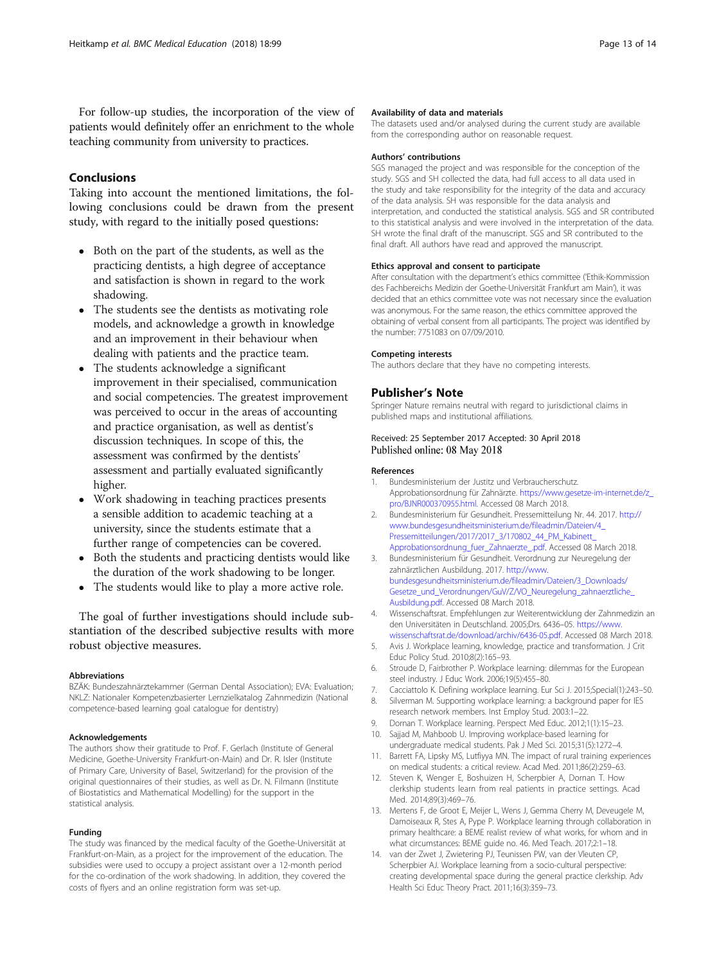<span id="page-12-0"></span>For follow-up studies, the incorporation of the view of patients would definitely offer an enrichment to the whole teaching community from university to practices.

## **Conclusions**

Taking into account the mentioned limitations, the following conclusions could be drawn from the present study, with regard to the initially posed questions:

- Both on the part of the students, as well as the practicing dentists, a high degree of acceptance and satisfaction is shown in regard to the work shadowing.
- The students see the dentists as motivating role models, and acknowledge a growth in knowledge and an improvement in their behaviour when dealing with patients and the practice team.
- The students acknowledge a significant improvement in their specialised, communication and social competencies. The greatest improvement was perceived to occur in the areas of accounting and practice organisation, as well as dentist's discussion techniques. In scope of this, the assessment was confirmed by the dentists' assessment and partially evaluated significantly higher.
- Work shadowing in teaching practices presents a sensible addition to academic teaching at a university, since the students estimate that a further range of competencies can be covered.
- Both the students and practicing dentists would like the duration of the work shadowing to be longer.
- The students would like to play a more active role.

The goal of further investigations should include substantiation of the described subjective results with more robust objective measures.

#### Abbreviations

BZÄK: Bundeszahnärztekammer (German Dental Association); EVA: Evaluation; NKLZ: Nationaler Kompetenzbasierter Lernzielkatalog Zahnmedizin (National competence-based learning goal catalogue for dentistry)

#### Acknowledgements

The authors show their gratitude to Prof. F. Gerlach (Institute of General Medicine, Goethe-University Frankfurt-on-Main) and Dr. R. Isler (Institute of Primary Care, University of Basel, Switzerland) for the provision of the original questionnaires of their studies, as well as Dr. N. Filmann (Institute of Biostatistics and Mathematical Modelling) for the support in the statistical analysis.

#### Funding

The study was financed by the medical faculty of the Goethe-Universität at Frankfurt-on-Main, as a project for the improvement of the education. The subsidies were used to occupy a project assistant over a 12-month period for the co-ordination of the work shadowing. In addition, they covered the costs of flyers and an online registration form was set-up.

#### Availability of data and materials

The datasets used and/or analysed during the current study are available from the corresponding author on reasonable request.

#### Authors' contributions

SGS managed the project and was responsible for the conception of the study. SGS and SH collected the data, had full access to all data used in the study and take responsibility for the integrity of the data and accuracy of the data analysis. SH was responsible for the data analysis and interpretation, and conducted the statistical analysis. SGS and SR contributed to this statistical analysis and were involved in the interpretation of the data. SH wrote the final draft of the manuscript. SGS and SR contributed to the final draft. All authors have read and approved the manuscript.

#### Ethics approval and consent to participate

After consultation with the department's ethics committee ('Ethik-Kommission des Fachbereichs Medizin der Goethe-Universität Frankfurt am Main'), it was decided that an ethics committee vote was not necessary since the evaluation was anonymous. For the same reason, the ethics committee approved the obtaining of verbal consent from all participants. The project was identified by the number: 7751083 on 07/09/2010.

#### Competing interests

The authors declare that they have no competing interests.

## Publisher's Note

Springer Nature remains neutral with regard to jurisdictional claims in published maps and institutional affiliations.

## Received: 25 September 2017 Accepted: 30 April 2018 Published online: 08 May 2018

#### References

- 1. Bundesministerium der Justitz und Verbraucherschutz. Approbationsordnung für Zahnärzte. [https://www.gesetze-im-internet.de/z\\_](https://www.gesetze-im-internet.de/z_pro/BJNR000370955.html) [pro/BJNR000370955.html](https://www.gesetze-im-internet.de/z_pro/BJNR000370955.html). Accessed 08 March 2018.
- 2. Bundesministerium für Gesundheit. Pressemitteilung Nr. 44. 2017. [http://](http://www.bundesgesundheitsministerium.de/fileadmin/Dateien/4_Pressemitteilungen/2017/2017_3/170802_44_PM_Kabinett_Approbationsordnung_fuer_Zahnaerzte_.pdf) [www.bundesgesundheitsministerium.de/fileadmin/Dateien/4\\_](http://www.bundesgesundheitsministerium.de/fileadmin/Dateien/4_Pressemitteilungen/2017/2017_3/170802_44_PM_Kabinett_Approbationsordnung_fuer_Zahnaerzte_.pdf) Pressemitteilungen/2017/2017\_3/170802\_44\_PM\_Kabinett [Approbationsordnung\\_fuer\\_Zahnaerzte\\_.pdf](http://www.bundesgesundheitsministerium.de/fileadmin/Dateien/4_Pressemitteilungen/2017/2017_3/170802_44_PM_Kabinett_Approbationsordnung_fuer_Zahnaerzte_.pdf). Accessed 08 March 2018.
- 3. Bundesministerium für Gesundheit. Verordnung zur Neuregelung der zahnärztlichen Ausbildung. 2017. [http://www.](http://www.bundesgesundheitsministerium.de/fileadmin/Dateien/3_Downloads/Gesetze_und_Verordnungen/GuV/Z/VO_Neuregelung_zahnaerztliche_Ausbildung.pdf) [bundesgesundheitsministerium.de/fileadmin/Dateien/3\\_Downloads/](http://www.bundesgesundheitsministerium.de/fileadmin/Dateien/3_Downloads/Gesetze_und_Verordnungen/GuV/Z/VO_Neuregelung_zahnaerztliche_Ausbildung.pdf) [Gesetze\\_und\\_Verordnungen/GuV/Z/VO\\_Neuregelung\\_zahnaerztliche\\_](http://www.bundesgesundheitsministerium.de/fileadmin/Dateien/3_Downloads/Gesetze_und_Verordnungen/GuV/Z/VO_Neuregelung_zahnaerztliche_Ausbildung.pdf) [Ausbildung.pdf.](http://www.bundesgesundheitsministerium.de/fileadmin/Dateien/3_Downloads/Gesetze_und_Verordnungen/GuV/Z/VO_Neuregelung_zahnaerztliche_Ausbildung.pdf) Accessed 08 March 2018.
- 4. Wissenschaftsrat. Empfehlungen zur Weiterentwicklung der Zahnmedizin an den Universitäten in Deutschland. 2005;Drs. 6436–05. [https://www.](https://www.wissenschaftsrat.de/download/archiv/6436-05.pdf) [wissenschaftsrat.de/download/archiv/6436-05.pdf](https://www.wissenschaftsrat.de/download/archiv/6436-05.pdf). Accessed 08 March 2018.
- 5. Avis J. Workplace learning, knowledge, practice and transformation. J Crit Educ Policy Stud. 2010;8(2):165–93.
- 6. Stroude D, Fairbrother P. Workplace learning: dilemmas for the European steel industry. J Educ Work. 2006;19(5):455–80.
- 7. Cacciattolo K. Defining workplace learning. Eur Sci J. 2015;Special(1):243–50.
- 8. Silverman M. Supporting workplace learning: a background paper for IES research network members. Inst Employ Stud. 2003:1–22.
- 9. Dornan T. Workplace learning. Perspect Med Educ. 2012;1(1):15–23.
- 10. Sajjad M, Mahboob U. Improving workplace-based learning for undergraduate medical students. Pak J Med Sci. 2015;31(5):1272–4.
- 11. Barrett FA, Lipsky MS, Lutfiyya MN. The impact of rural training experiences on medical students: a critical review. Acad Med. 2011;86(2):259–63.
- 12. Steven K, Wenger E, Boshuizen H, Scherpbier A, Dornan T. How clerkship students learn from real patients in practice settings. Acad Med. 2014;89(3):469–76.
- 13. Mertens F, de Groot E, Meijer L, Wens J, Gemma Cherry M, Deveugele M, Damoiseaux R, Stes A, Pype P. Workplace learning through collaboration in primary healthcare: a BEME realist review of what works, for whom and in what circumstances: BEME guide no. 46. Med Teach. 2017;2:1–18.
- 14. van der Zwet J, Zwietering PJ, Teunissen PW, van der Vleuten CP, Scherpbier AJ. Workplace learning from a socio-cultural perspective: creating developmental space during the general practice clerkship. Adv Health Sci Educ Theory Pract. 2011;16(3):359–73.